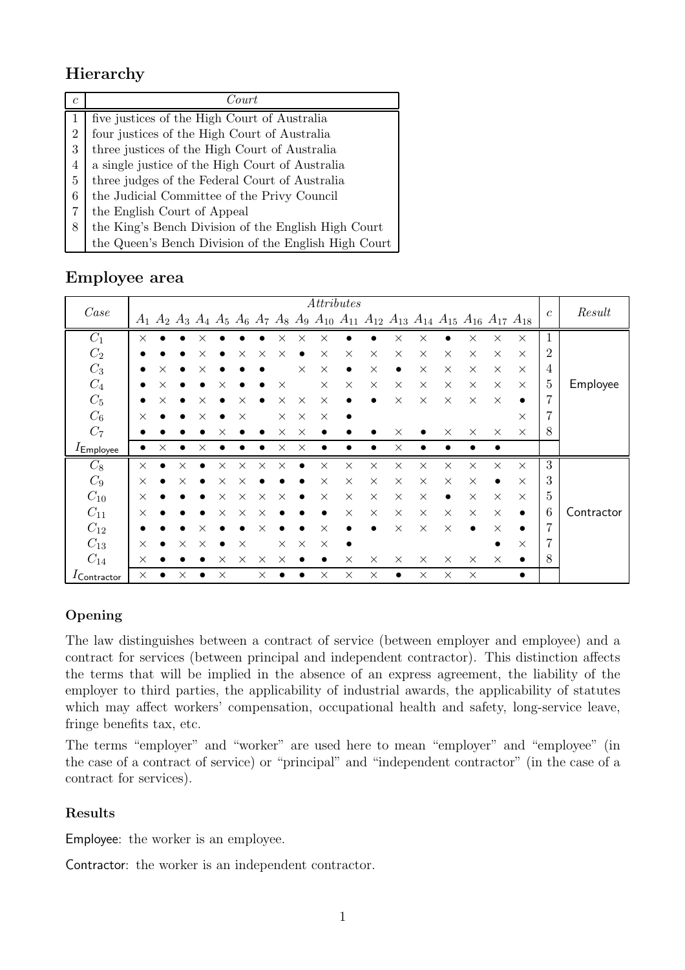# **Hierarchy**

| $\mathfrak c$ | Court                                                |
|---------------|------------------------------------------------------|
|               | five justices of the High Court of Australia         |
| 2             | four justices of the High Court of Australia         |
| 3             | three justices of the High Court of Australia        |
| 4             | a single justice of the High Court of Australia      |
| 5             | three judges of the Federal Court of Australia       |
| 6             | the Judicial Committee of the Privy Council          |
| 7             | the English Court of Appeal                          |
| 8             | the King's Bench Division of the English High Court  |
|               | the Queen's Bench Division of the English High Court |

# **Employee area**

|                         | $\label{thm:1} At tributes$ |          |          |           |          |          |          |          |           |           |           |          |                                                                                                                                        |          |          |           |           |           |                 |            |
|-------------------------|-----------------------------|----------|----------|-----------|----------|----------|----------|----------|-----------|-----------|-----------|----------|----------------------------------------------------------------------------------------------------------------------------------------|----------|----------|-----------|-----------|-----------|-----------------|------------|
| Case                    |                             |          |          |           |          |          |          |          |           |           |           |          | $A_1$ $A_2$ $A_3$ $A_4$ $A_5$ $A_6$ $A_7$ $A_8$ $A_9$ $A_{10}$ $A_{11}$ $A_{12}$ $A_{13}$ $A_{14}$ $A_{15}$ $A_{16}$ $A_{17}$ $A_{18}$ |          |          |           |           |           | $\mathfrak{c}$  | Result     |
| $C_1$                   | $\times$                    |          |          | X         |          |          |          | ×        | ×         | ×         |           |          | $\times$                                                                                                                               | $\times$ |          | $\times$  | $\times$  | $\times$  | 1               |            |
| $C_2$                   |                             |          |          | $\times$  |          | $\times$ | $\times$ | $\times$ |           | $\times$  | $\times$  | $\times$ | $\times$                                                                                                                               | $\times$ | $\times$ | $\times$  | $\times$  | $\times$  | $\overline{2}$  |            |
| $\mathcal{C}_3$         |                             | $\times$ |          | $\times$  |          |          |          |          | $\times$  | $\times$  | $\bullet$ | $\times$ | $\bullet$                                                                                                                              | $\times$ | $\times$ | $\times$  | $\times$  | $\times$  | 4               |            |
| $C_4$                   |                             | X        |          |           | ×        |          |          | $\times$ |           | $\times$  | $\times$  | $\times$ | $\times$                                                                                                                               | $\times$ | $\times$ | $\times$  | $\times$  | $\times$  | $\overline{5}$  | Employee   |
| $C_5$                   |                             | ×        |          | $\times$  |          | ×        |          | $\times$ | $\times$  | $\times$  |           |          | $\times$                                                                                                                               | $\times$ | $\times$ | $\times$  | $\times$  | $\bullet$ | 7               |            |
| $C_6$                   | $\times$                    |          |          | $\times$  |          | $\times$ |          | $\times$ | $\times$  | $\times$  |           |          |                                                                                                                                        |          |          |           |           | $\times$  | 7               |            |
| $C_7$                   |                             |          |          |           |          |          |          | $\times$ | $\times$  |           |           |          | $\times$                                                                                                                               |          | $\times$ | $\times$  | $\times$  | $\times$  | 8               |            |
| $I_{\text{Emplove}}$    |                             | ×        |          | $\times$  |          |          |          | $\times$ | $\times$  | $\bullet$ |           |          | $\times$                                                                                                                               |          |          |           |           |           |                 |            |
| $C_8$                   | $\times$                    |          | $\times$ |           | $\times$ | $\times$ | $\times$ | $\times$ | $\bullet$ | $\times$  | $\times$  | $\times$ | $\times$                                                                                                                               | $\times$ | $\times$ | $\times$  | $\times$  | $\times$  | 3               |            |
| $C_9$                   | $\times$                    |          | $\times$ | $\bullet$ | $\times$ | $\times$ |          |          |           | $\times$  | $\times$  | $\times$ | $\times$                                                                                                                               | $\times$ | $\times$ | $\times$  | $\bullet$ | $\times$  | 3               |            |
| $C_{10}$                | $\times$                    |          |          |           | $\times$ | $\times$ | $\times$ | $\times$ | $\bullet$ | $\times$  | $\times$  | $\times$ | $\times$                                                                                                                               | $\times$ | ٠        | $\times$  | $\times$  | $\times$  | $\bf 5$         |            |
| $C_{11}$                | $\times$                    |          |          |           | $\times$ | $\times$ | $\times$ |          |           | ٠         | $\times$  | $\times$ | $\times$                                                                                                                               | $\times$ | $\times$ | $\times$  | $\times$  | $\bullet$ | $6\phantom{.}6$ | Contractor |
| $C_{12}$                |                             |          |          | ×         |          |          | $\times$ |          |           | $\times$  |           |          | $\times$                                                                                                                               | $\times$ | $\times$ | $\bullet$ | $\times$  | $\bullet$ | 7               |            |
| $C_{13}$                | $\times$                    |          | $\times$ | $\times$  |          | $\times$ |          | $\times$ | $\times$  | $\times$  |           |          |                                                                                                                                        |          |          |           | $\bullet$ | $\times$  | 7               |            |
| $C_{14}$                | $\times$                    |          |          |           | $\times$ | $\times$ | $\times$ | $\times$ |           | $\bullet$ | $\times$  | $\times$ | $\times$                                                                                                                               | $\times$ | $\times$ | $\times$  | $\times$  | $\bullet$ | 8               |            |
| $I_{\text{Contractor}}$ | $\times$                    |          | ×        |           | $\times$ |          | $\times$ |          |           | $\times$  | $\times$  | $\times$ | $\bullet$                                                                                                                              | $\times$ | $\times$ | $\times$  |           | $\bullet$ |                 |            |

## **Opening**

The law distinguishes between a contract of service (between employer and employee) and a contract for services (between principal and independent contractor). This distinction affects the terms that will be implied in the absence of an express agreement, the liability of the employer to third parties, the applicability of industrial awards, the applicability of statutes which may affect workers' compensation, occupational health and safety, long-service leave, fringe benefits tax, etc.

The terms "employer" and "worker" are used here to mean "employer" and "employee" (in the case of a contract of service) or "principal" and "independent contractor" (in the case of a contract for services).

### **Results**

Employee: the worker is an employee.

Contractor: the worker is an independent contractor.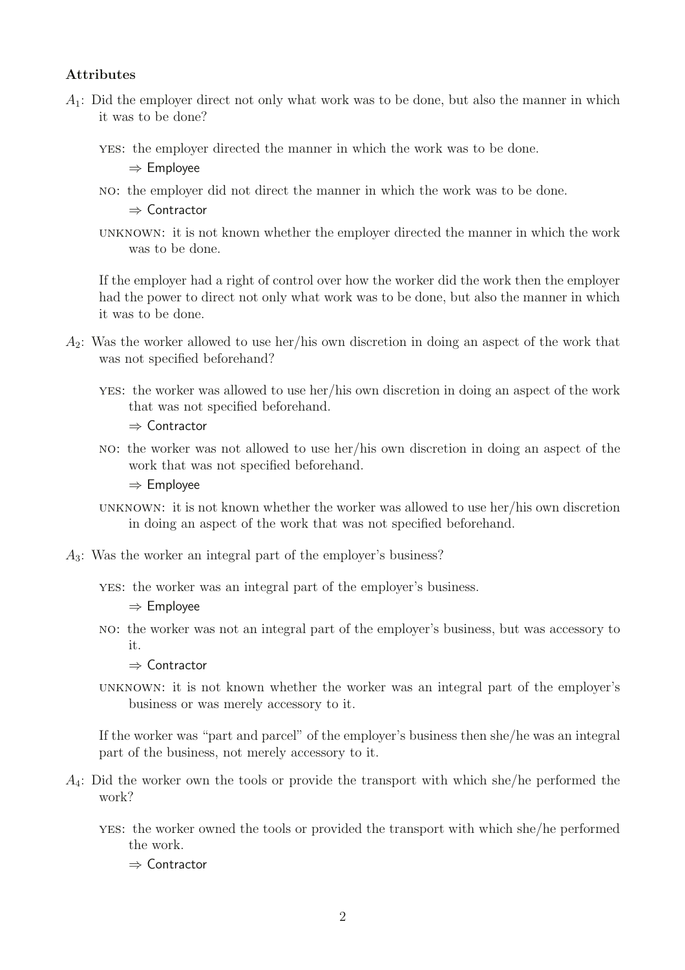### **Attributes**

- $A_1$ : Did the employer direct not only what work was to be done, but also the manner in which it was to be done?
	- yes: the employer directed the manner in which the work was to be done.
		- ⇒ Employee
	- no: the employer did not direct the manner in which the work was to be done.
		- ⇒ Contractor
	- unknown: it is not known whether the employer directed the manner in which the work was to be done.

If the employer had a right of control over how the worker did the work then the employer had the power to direct not only what work was to be done, but also the manner in which it was to be done.

- $A_2$ : Was the worker allowed to use her/his own discretion in doing an aspect of the work that was not specified beforehand?
	- yes: the worker was allowed to use her/his own discretion in doing an aspect of the work that was not specified beforehand.
		- ⇒ Contractor
	- no: the worker was not allowed to use her/his own discretion in doing an aspect of the work that was not specified beforehand.
		- ⇒ Employee
	- unknown: it is not known whether the worker was allowed to use her/his own discretion in doing an aspect of the work that was not specified beforehand.
- A3: Was the worker an integral part of the employer's business?
	- yes: the worker was an integral part of the employer's business.

⇒ Employee

- no: the worker was not an integral part of the employer's business, but was accessory to it.
	- ⇒ Contractor
- unknown: it is not known whether the worker was an integral part of the employer's business or was merely accessory to it.

If the worker was "part and parcel" of the employer's business then she/he was an integral part of the business, not merely accessory to it.

- $A_4$ : Did the worker own the tools or provide the transport with which she/he performed the work?
	- yes: the worker owned the tools or provided the transport with which she/he performed the work.
		- ⇒ Contractor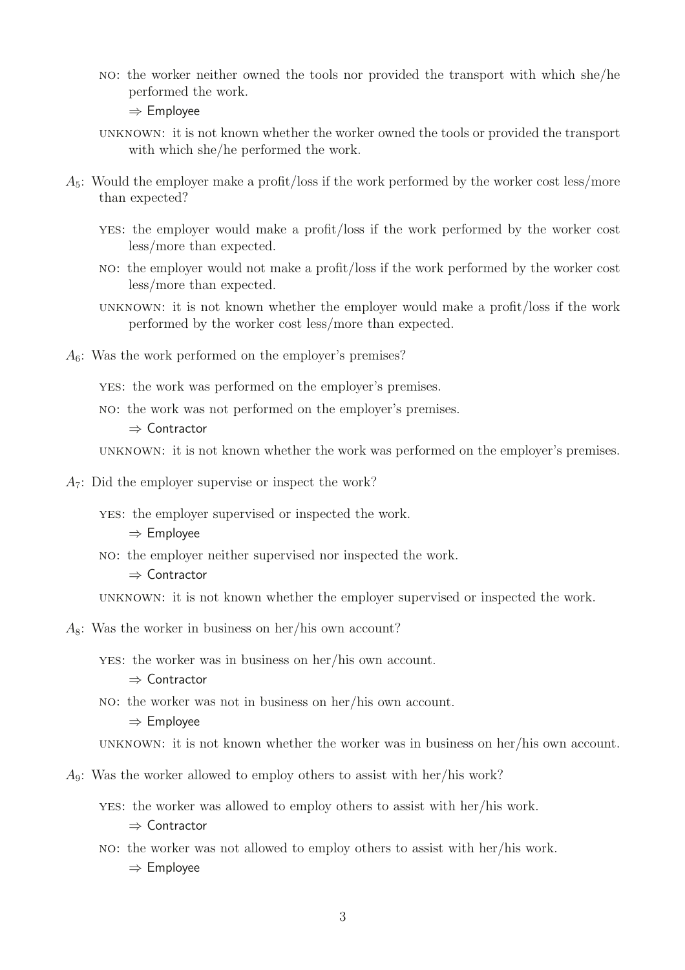no: the worker neither owned the tools nor provided the transport with which she/he performed the work.

⇒ Employee

- unknown: it is not known whether the worker owned the tools or provided the transport with which she/he performed the work.
- $A_5$ : Would the employer make a profit/loss if the work performed by the worker cost less/more than expected?
	- yes: the employer would make a profit/loss if the work performed by the worker cost less/more than expected.
	- no: the employer would not make a profit/loss if the work performed by the worker cost less/more than expected.
	- unknown: it is not known whether the employer would make a profit/loss if the work performed by the worker cost less/more than expected.
- $A<sub>6</sub>$ : Was the work performed on the employer's premises?
	- yes: the work was performed on the employer's premises.
	- no: the work was not performed on the employer's premises.

⇒ Contractor

unknown: it is not known whether the work was performed on the employer's premises.

A7: Did the employer supervise or inspect the work?

yes: the employer supervised or inspected the work.

- ⇒ Employee
- no: the employer neither supervised nor inspected the work.
	- ⇒ Contractor

unknown: it is not known whether the employer supervised or inspected the work.

 $A_8$ : Was the worker in business on her/his own account?

yes: the worker was in business on her/his own account.

⇒ Contractor

no: the worker was not in business on her/his own account.

⇒ Employee

unknown: it is not known whether the worker was in business on her/his own account.

- A9: Was the worker allowed to employ others to assist with her/his work?
	- yes: the worker was allowed to employ others to assist with her/his work. ⇒ Contractor
	- no: the worker was not allowed to employ others to assist with her/his work. ⇒ Employee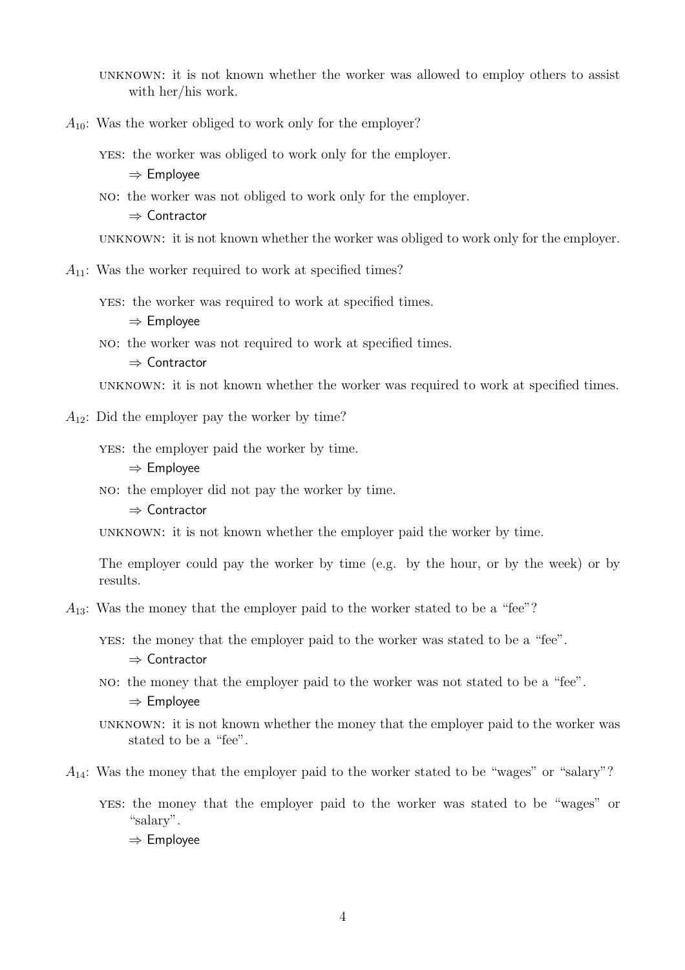unknown: it is not known whether the worker was allowed to employ others to assist with her/his work.

 $A_{10}$ : Was the worker obliged to work only for the employer?

yes: the worker was obliged to work only for the employer.

 $\Rightarrow$  Employee

no: the worker was not obliged to work only for the employer.

 $\Rightarrow$  Contractor

unknown: it is not known whether the worker was obliged to work only for the employer.

 $A_{11}$ : Was the worker required to work at specified times?

yes: the worker was required to work at specified times.

 $\Rightarrow$  Employee

no: the worker was not required to work at specified times.

 $\Rightarrow$  Contractor

unknown: it is not known whether the worker was required to work at specified times.

 $A_{12}$ : Did the employer pay the worker by time?

yes: the employer paid the worker by time.

 $\Rightarrow$  Employee

no: the employer did not pay the worker by time.

 $\Rightarrow$  Contractor

unknown: it is not known whether the employer paid the worker by time.

The employer could pay the worker by time (e.g. by the hour, or by the week) or by results.

 $A_{13}$ : Was the money that the employer paid to the worker stated to be a "fee"?

yes: the money that the employer paid to the worker was stated to be a "fee".

 $\Rightarrow$  Contractor

no: the money that the employer paid to the worker was not stated to be a "fee".  $\Rightarrow$  Employee

unknown: it is not known whether the money that the employer paid to the worker was stated to be a "fee".

 $A_{14}$ : Was the money that the employer paid to the worker stated to be "wages" or "salary"?

yes: the money that the employer paid to the worker was stated to be "wages" or "salary".  $\Rightarrow$  Employee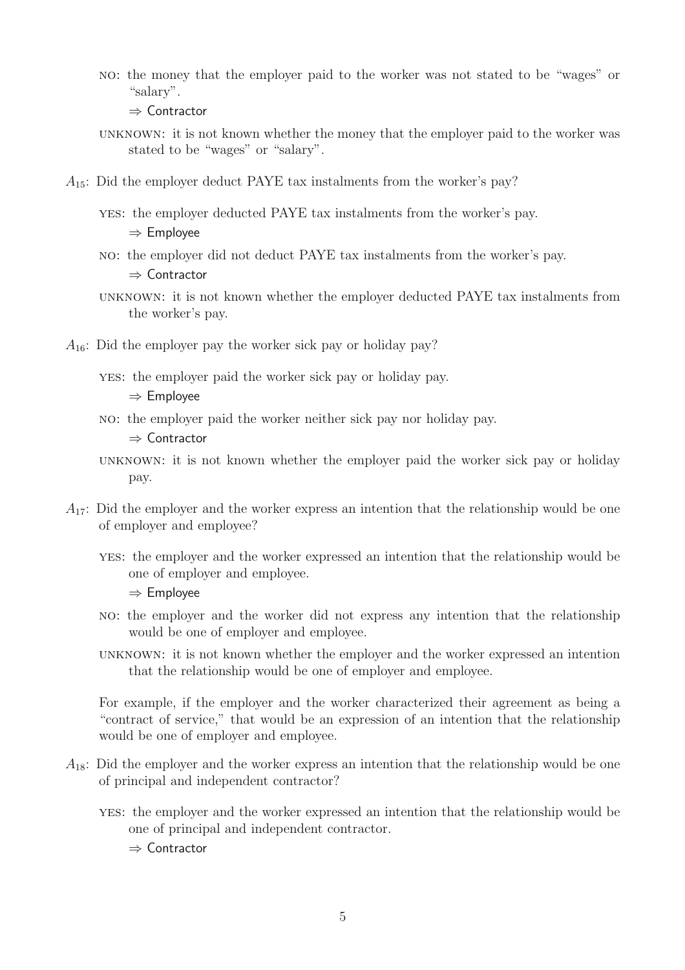no: the money that the employer paid to the worker was not stated to be "wages" or "salary".

⇒ Contractor

- unknown: it is not known whether the money that the employer paid to the worker was stated to be "wages" or "salary".
- $A_{15}$ : Did the employer deduct PAYE tax instalments from the worker's pay?

yes: the employer deducted PAYE tax instalments from the worker's pay. ⇒ Employee

- no: the employer did not deduct PAYE tax instalments from the worker's pay. ⇒ Contractor
- unknown: it is not known whether the employer deducted PAYE tax instalments from the worker's pay.
- $A_{16}$ : Did the employer pay the worker sick pay or holiday pay?
	- yes: the employer paid the worker sick pay or holiday pay.

⇒ Employee

no: the employer paid the worker neither sick pay nor holiday pay.

⇒ Contractor

- unknown: it is not known whether the employer paid the worker sick pay or holiday pay.
- $A_{17}$ : Did the employer and the worker express an intention that the relationship would be one of employer and employee?
	- yes: the employer and the worker expressed an intention that the relationship would be one of employer and employee.
		- ⇒ Employee
	- no: the employer and the worker did not express any intention that the relationship would be one of employer and employee.
	- unknown: it is not known whether the employer and the worker expressed an intention that the relationship would be one of employer and employee.

For example, if the employer and the worker characterized their agreement as being a "contract of service," that would be an expression of an intention that the relationship would be one of employer and employee.

- $A_{18}$ : Did the employer and the worker express an intention that the relationship would be one of principal and independent contractor?
	- yes: the employer and the worker expressed an intention that the relationship would be one of principal and independent contractor.

⇒ Contractor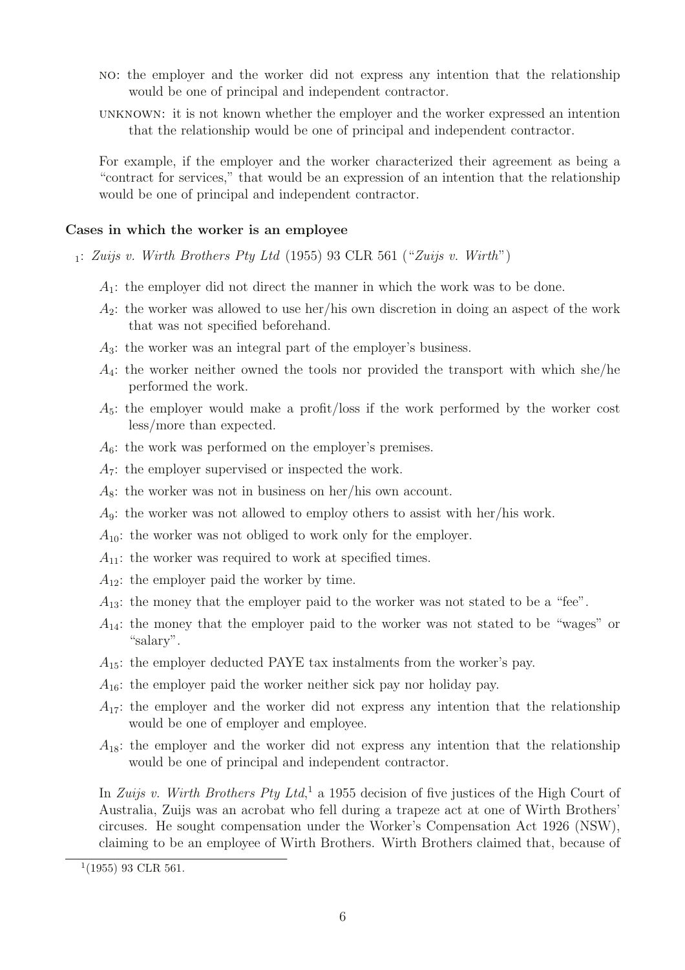- no: the employer and the worker did not express any intention that the relationship would be one of principal and independent contractor.
- unknown: it is not known whether the employer and the worker expressed an intention that the relationship would be one of principal and independent contractor.

For example, if the employer and the worker characterized their agreement as being a "contract for services," that would be an expression of an intention that the relationship would be one of principal and independent contractor.

#### **Cases in which the worker is an employee**

- $_1: Zuijs$  v. Wirth Brothers Pty Ltd (1955) 93 CLR 561 ("Zuijs v. Wirth")
	- $A_1$ : the employer did not direct the manner in which the work was to be done.
	- $A_2$ : the worker was allowed to use her/his own discretion in doing an aspect of the work that was not specified beforehand.
	- $A_3$ : the worker was an integral part of the employer's business.
	- $A_4$ : the worker neither owned the tools nor provided the transport with which she/he performed the work.
	- $A_5$ : the employer would make a profit/loss if the work performed by the worker cost less/more than expected.
	- $A_6$ : the work was performed on the employer's premises.
	- $A_7$ : the employer supervised or inspected the work.
	- $A_8$ : the worker was not in business on her/his own account.
	- $A_9$ : the worker was not allowed to employ others to assist with her/his work.
	- $A_{10}$ : the worker was not obliged to work only for the employer.
	- $A_{11}$ : the worker was required to work at specified times.
	- $A_{12}$ : the employer paid the worker by time.
	- $A_{13}$ : the money that the employer paid to the worker was not stated to be a "fee".
	- $A_{14}$ : the money that the employer paid to the worker was not stated to be "wages" or "salary".
	- $A_{15}$ : the employer deducted PAYE tax instalments from the worker's pay.
	- $A_{16}$ : the employer paid the worker neither sick pay nor holiday pay.
	- $A_{17}$ : the employer and the worker did not express any intention that the relationship would be one of employer and employee.
	- $A_{18}$ : the employer and the worker did not express any intention that the relationship would be one of principal and independent contractor.

In Zuijs v. Wirth Brothers Pty Ltd,<sup>1</sup> a 1955 decision of five justices of the High Court of Australia, Zuijs was an acrobat who fell during a trapeze act at one of Wirth Brothers' circuses. He sought compensation under the Worker's Compensation Act 1926 (NSW), claiming to be an employee of Wirth Brothers. Wirth Brothers claimed that, because of

 $1(1955)$  93 CLR 561.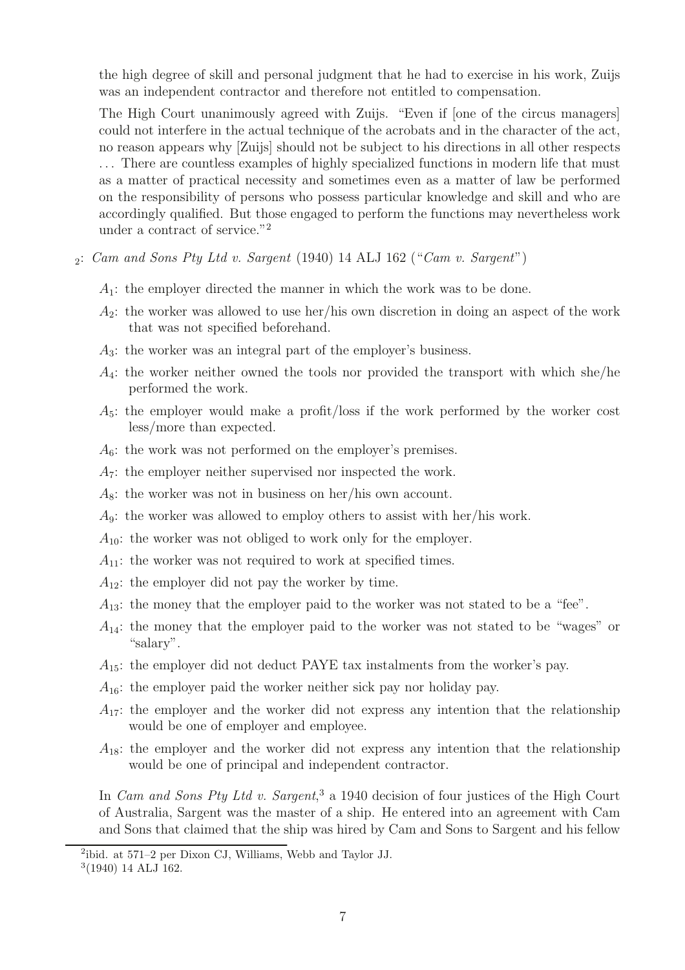the high degree of skill and personal judgment that he had to exercise in his work, Zuijs was an independent contractor and therefore not entitled to compensation.

The High Court unanimously agreed with Zuijs. "Even if [one of the circus managers] could not interfere in the actual technique of the acrobats and in the character of the act, no reason appears why [Zuijs] should not be subject to his directions in all other respects . . . There are countless examples of highly specialized functions in modern life that must as a matter of practical necessity and sometimes even as a matter of law be performed on the responsibility of persons who possess particular knowledge and skill and who are accordingly qualified. But those engaged to perform the functions may nevertheless work under a contract of service."<sup>2</sup>

- $_2$ : Cam and Sons Pty Ltd v. Sargent (1940) 14 ALJ 162 ("Cam v. Sargent")
	- $A_1$ : the employer directed the manner in which the work was to be done.
	- $A_2$ : the worker was allowed to use her/his own discretion in doing an aspect of the work that was not specified beforehand.
	- A3: the worker was an integral part of the employer's business.
	- $A_4$ : the worker neither owned the tools nor provided the transport with which she/he performed the work.
	- $A_5$ : the employer would make a profit/loss if the work performed by the worker cost less/more than expected.
	- $A_6$ : the work was not performed on the employer's premises.
	- A7: the employer neither supervised nor inspected the work.
	- $A_8$ : the worker was not in business on her/his own account.
	- $A_9$ : the worker was allowed to employ others to assist with her/his work.
	- $A_{10}$ : the worker was not obliged to work only for the employer.
	- $A_{11}$ : the worker was not required to work at specified times.
	- $A_{12}$ : the employer did not pay the worker by time.
	- $A_{13}$ : the money that the employer paid to the worker was not stated to be a "fee".
	- $A_{14}$ : the money that the employer paid to the worker was not stated to be "wages" or "salary".
	- $A_{15}$ : the employer did not deduct PAYE tax instalments from the worker's pay.
	- $A_{16}$ : the employer paid the worker neither sick pay nor holiday pay.
	- $A_{17}$ : the employer and the worker did not express any intention that the relationship would be one of employer and employee.
	- $A_{18}$ : the employer and the worker did not express any intention that the relationship would be one of principal and independent contractor.

In *Cam and Sons Pty Ltd v. Sargent*,<sup>3</sup> a 1940 decision of four justices of the High Court of Australia, Sargent was the master of a ship. He entered into an agreement with Cam and Sons that claimed that the ship was hired by Cam and Sons to Sargent and his fellow

<sup>2</sup>ibid. at 571–2 per Dixon CJ, Williams, Webb and Taylor JJ.

<sup>3</sup>(1940) 14 ALJ 162.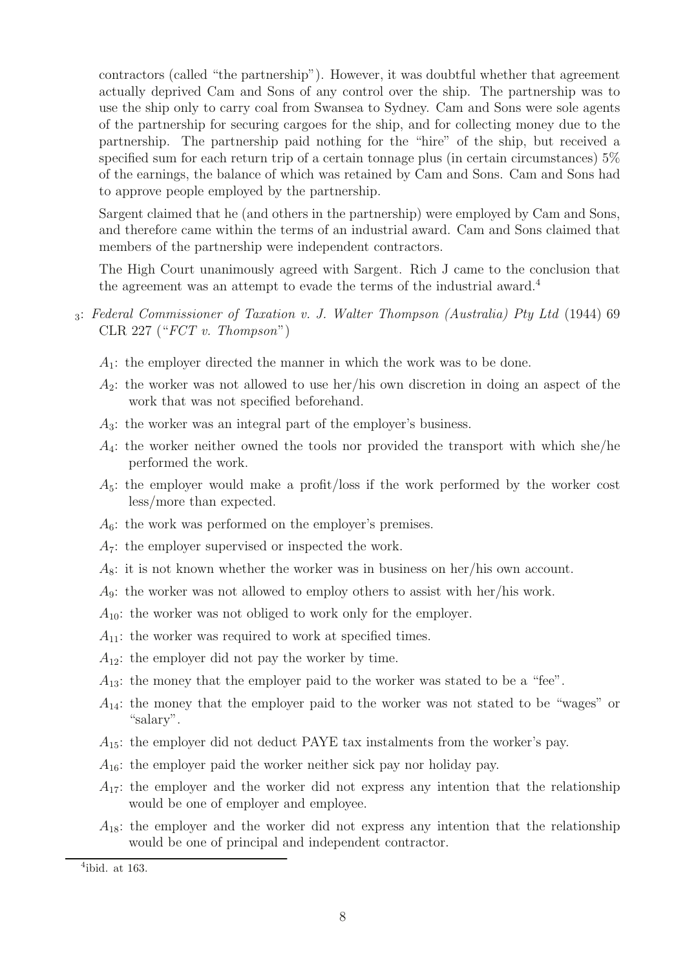contractors (called "the partnership"). However, it was doubtful whether that agreement actually deprived Cam and Sons of any control over the ship. The partnership was to use the ship only to carry coal from Swansea to Sydney. Cam and Sons were sole agents of the partnership for securing cargoes for the ship, and for collecting money due to the partnership. The partnership paid nothing for the "hire" of the ship, but received a specified sum for each return trip of a certain tonnage plus (in certain circumstances) 5% of the earnings, the balance of which was retained by Cam and Sons. Cam and Sons had to approve people employed by the partnership.

Sargent claimed that he (and others in the partnership) were employed by Cam and Sons, and therefore came within the terms of an industrial award. Cam and Sons claimed that members of the partnership were independent contractors.

The High Court unanimously agreed with Sargent. Rich J came to the conclusion that the agreement was an attempt to evade the terms of the industrial award.<sup>4</sup>

- <sup>3</sup>: Federal Commissioner of Taxation v. J. Walter Thompson (Australia) Pty Ltd (1944) 69 CLR 227 (" $FCT$  v. Thompson")
	- $A_1$ : the employer directed the manner in which the work was to be done.
	- $A_2$ : the worker was not allowed to use her/his own discretion in doing an aspect of the work that was not specified beforehand.
	- $A_3$ : the worker was an integral part of the employer's business.
	- $A_4$ : the worker neither owned the tools nor provided the transport with which she/he performed the work.
	- $A_5$ : the employer would make a profit/loss if the work performed by the worker cost less/more than expected.
	- $A_6$ : the work was performed on the employer's premises.
	- $A_7$ : the employer supervised or inspected the work.
	- $A_8$ : it is not known whether the worker was in business on her/his own account.
	- $A_9$ : the worker was not allowed to employ others to assist with her/his work.
	- $A_{10}$ : the worker was not obliged to work only for the employer.
	- $A_{11}$ : the worker was required to work at specified times.
	- $A_{12}$ : the employer did not pay the worker by time.
	- $A_{13}$ : the money that the employer paid to the worker was stated to be a "fee".
	- $A_{14}$ : the money that the employer paid to the worker was not stated to be "wages" or "salary".
	- $A_{15}$ : the employer did not deduct PAYE tax instalments from the worker's pay.
	- $A_{16}$ : the employer paid the worker neither sick pay nor holiday pay.
	- $A_{17}$ : the employer and the worker did not express any intention that the relationship would be one of employer and employee.
	- $A_{18}$ : the employer and the worker did not express any intention that the relationship would be one of principal and independent contractor.

<sup>4</sup>ibid. at 163.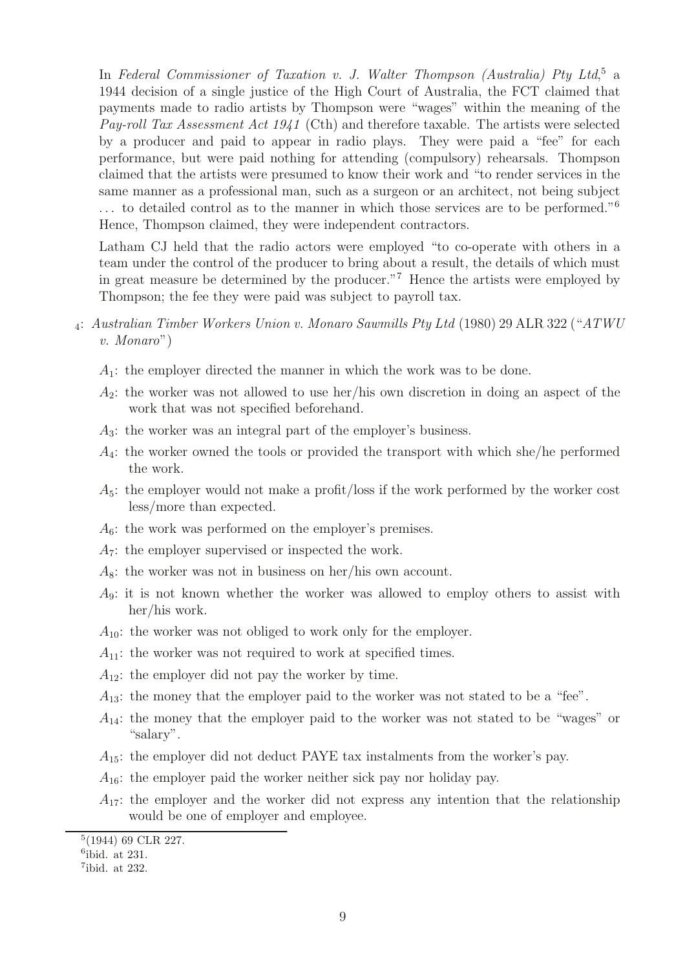In Federal Commissioner of Taxation v. J. Walter Thompson (Australia) Pty Ltd,<sup>5</sup> a 1944 decision of a single justice of the High Court of Australia, the FCT claimed that payments made to radio artists by Thompson were "wages" within the meaning of the Pay-roll Tax Assessment Act 1941 (Cth) and therefore taxable. The artists were selected by a producer and paid to appear in radio plays. They were paid a "fee" for each performance, but were paid nothing for attending (compulsory) rehearsals. Thompson claimed that the artists were presumed to know their work and "to render services in the same manner as a professional man, such as a surgeon or an architect, not being subject . . . to detailed control as to the manner in which those services are to be performed."<sup>6</sup> Hence, Thompson claimed, they were independent contractors.

Latham CJ held that the radio actors were employed "to co-operate with others in a team under the control of the producer to bring about a result, the details of which must in great measure be determined by the producer."<sup>7</sup> Hence the artists were employed by Thompson; the fee they were paid was subject to payroll tax.

- <sup>4</sup>: Australian Timber Workers Union v. Monaro Sawmills Pty Ltd (1980) 29 ALR 322 ("ATWU v. Monaro")
	- $A_1$ : the employer directed the manner in which the work was to be done.
	- $A_2$ : the worker was not allowed to use her/his own discretion in doing an aspect of the work that was not specified beforehand.
	- A3: the worker was an integral part of the employer's business.
	- $A_4$ : the worker owned the tools or provided the transport with which she/he performed the work.
	- $A_5$ : the employer would not make a profit/loss if the work performed by the worker cost less/more than expected.
	- $A_6$ : the work was performed on the employer's premises.
	- $A_7$ : the employer supervised or inspected the work.
	- $A_8$ : the worker was not in business on her/his own account.
	- $A_9$ : it is not known whether the worker was allowed to employ others to assist with her/his work.
	- $A_{10}$ : the worker was not obliged to work only for the employer.
	- $A_{11}$ : the worker was not required to work at specified times.
	- $A_{12}$ : the employer did not pay the worker by time.
	- $A_{13}$ : the money that the employer paid to the worker was not stated to be a "fee".
	- $A_{14}$ : the money that the employer paid to the worker was not stated to be "wages" or "salary".
	- $A_{15}$ : the employer did not deduct PAYE tax instalments from the worker's pay.
	- $A_{16}$ : the employer paid the worker neither sick pay nor holiday pay.
	- $A_{17}$ : the employer and the worker did not express any intention that the relationship would be one of employer and employee.

<sup>5</sup>(1944) 69 CLR 227.

 $6$ ibid. at 231.

<sup>7</sup>ibid. at 232.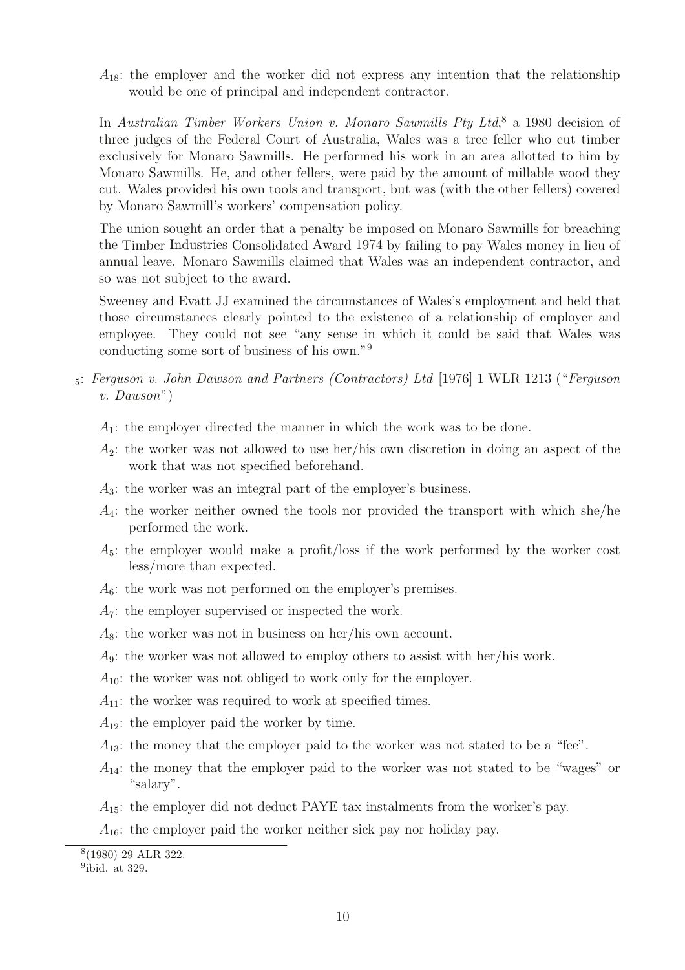$A_{18}$ : the employer and the worker did not express any intention that the relationship would be one of principal and independent contractor.

In Australian Timber Workers Union v. Monaro Sawmills Pty Ltd,<sup>8</sup> a 1980 decision of three judges of the Federal Court of Australia, Wales was a tree feller who cut timber exclusively for Monaro Sawmills. He performed his work in an area allotted to him by Monaro Sawmills. He, and other fellers, were paid by the amount of millable wood they cut. Wales provided his own tools and transport, but was (with the other fellers) covered by Monaro Sawmill's workers' compensation policy.

The union sought an order that a penalty be imposed on Monaro Sawmills for breaching the Timber Industries Consolidated Award 1974 by failing to pay Wales money in lieu of annual leave. Monaro Sawmills claimed that Wales was an independent contractor, and so was not subject to the award.

Sweeney and Evatt JJ examined the circumstances of Wales's employment and held that those circumstances clearly pointed to the existence of a relationship of employer and employee. They could not see "any sense in which it could be said that Wales was conducting some sort of business of his own."<sup>9</sup>

- <sup>5</sup>: Ferguson v. John Dawson and Partners (Contractors) Ltd [1976] 1 WLR 1213 ("Ferguson v. Dawson")
	- $A_1$ : the employer directed the manner in which the work was to be done.
	- $A_2$ : the worker was not allowed to use her/his own discretion in doing an aspect of the work that was not specified beforehand.
	- A3: the worker was an integral part of the employer's business.
	- $A_4$ : the worker neither owned the tools nor provided the transport with which she/he performed the work.
	- $A_5$ : the employer would make a profit/loss if the work performed by the worker cost less/more than expected.
	- $A_6$ : the work was not performed on the employer's premises.
	- $A_7$ : the employer supervised or inspected the work.
	- $A_8$ : the worker was not in business on her/his own account.
	- $A_9$ : the worker was not allowed to employ others to assist with her/his work.
	- $A_{10}$ : the worker was not obliged to work only for the employer.
	- $A_{11}$ : the worker was required to work at specified times.
	- $A_{12}$ : the employer paid the worker by time.
	- $A_{13}$ : the money that the employer paid to the worker was not stated to be a "fee".
	- $A_{14}$ : the money that the employer paid to the worker was not stated to be "wages" or "salary".
	- $A_{15}$ : the employer did not deduct PAYE tax instalments from the worker's pay.
	- $A_{16}$ : the employer paid the worker neither sick pay nor holiday pay.

<sup>8</sup>(1980) 29 ALR 322.

<sup>&</sup>lt;sup>9</sup>ibid. at 329.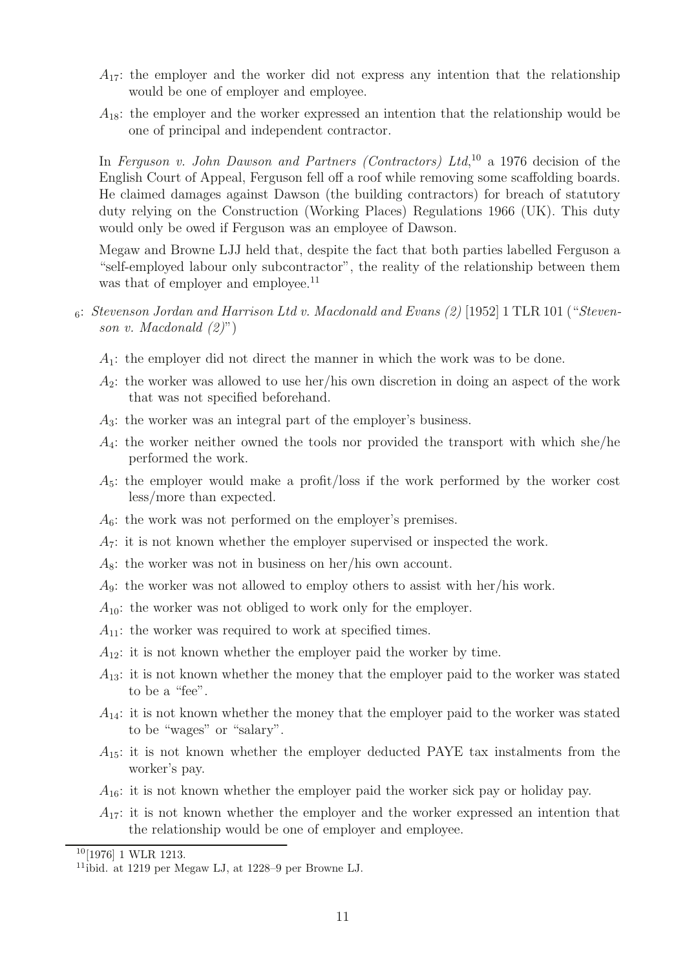- $A_{17}$ : the employer and the worker did not express any intention that the relationship would be one of employer and employee.
- $A_{18}$ : the employer and the worker expressed an intention that the relationship would be one of principal and independent contractor.

In Ferguson v. John Dawson and Partners (Contractors) Ltd,  $^{10}$  a 1976 decision of the English Court of Appeal, Ferguson fell off a roof while removing some scaffolding boards. He claimed damages against Dawson (the building contractors) for breach of statutory duty relying on the Construction (Working Places) Regulations 1966 (UK). This duty would only be owed if Ferguson was an employee of Dawson.

Megaw and Browne LJJ held that, despite the fact that both parties labelled Ferguson a "self-employed labour only subcontractor", the reality of the relationship between them was that of employer and employee.<sup>11</sup>

- $6: Stevenson Jordan and Harrison Ltd v. Macdonald and Evans (2) [1952] 1 TLR 101 ("Steven-1")$ son v. Macdonald  $(2)$ ")
	- $A_1$ : the employer did not direct the manner in which the work was to be done.
	- $A_2$ : the worker was allowed to use her/his own discretion in doing an aspect of the work that was not specified beforehand.
	- $A_3$ : the worker was an integral part of the employer's business.
	- $A_4$ : the worker neither owned the tools nor provided the transport with which she/he performed the work.
	- $A_5$ : the employer would make a profit/loss if the work performed by the worker cost less/more than expected.
	- $A<sub>6</sub>$ : the work was not performed on the employer's premises.
	- $A_7$ : it is not known whether the employer supervised or inspected the work.
	- $A_8$ : the worker was not in business on her/his own account.
	- A9: the worker was not allowed to employ others to assist with her/his work.
	- $A_{10}$ : the worker was not obliged to work only for the employer.
	- $A_{11}$ : the worker was required to work at specified times.
	- $A_{12}$ : it is not known whether the employer paid the worker by time.
	- $A_{13}$ : it is not known whether the money that the employer paid to the worker was stated to be a "fee".
	- $A_{14}$ : it is not known whether the money that the employer paid to the worker was stated to be "wages" or "salary".
	- $A_{15}$ : it is not known whether the employer deducted PAYE tax instalments from the worker's pay.
	- $A_{16}$ : it is not known whether the employer paid the worker sick pay or holiday pay.
	- $A_{17}$ : it is not known whether the employer and the worker expressed an intention that the relationship would be one of employer and employee.

<sup>10</sup>[1976] 1 WLR 1213.

<sup>11</sup>ibid. at 1219 per Megaw LJ, at 1228–9 per Browne LJ.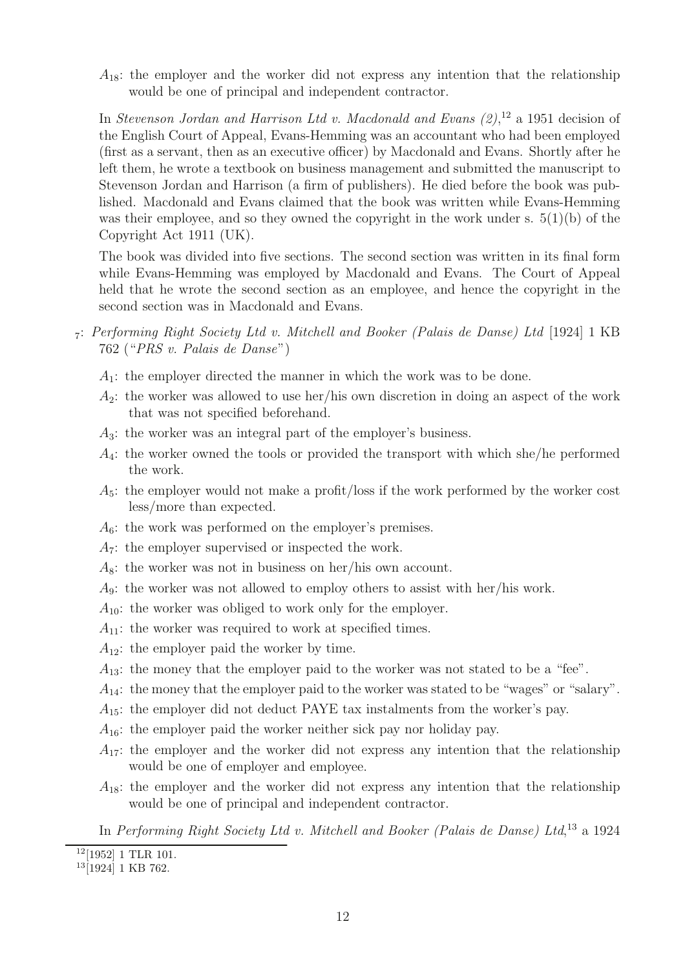$A_{18}$ : the employer and the worker did not express any intention that the relationship would be one of principal and independent contractor.

In Stevenson Jordan and Harrison Ltd v. Macdonald and Evans  $(2)$ ,<sup>12</sup> a 1951 decision of the English Court of Appeal, Evans-Hemming was an accountant who had been employed (first as a servant, then as an executive officer) by Macdonald and Evans. Shortly after he left them, he wrote a textbook on business management and submitted the manuscript to Stevenson Jordan and Harrison (a firm of publishers). He died before the book was published. Macdonald and Evans claimed that the book was written while Evans-Hemming was their employee, and so they owned the copyright in the work under s.  $5(1)(b)$  of the Copyright Act 1911 (UK).

The book was divided into five sections. The second section was written in its final form while Evans-Hemming was employed by Macdonald and Evans. The Court of Appeal held that he wrote the second section as an employee, and hence the copyright in the second section was in Macdonald and Evans.

- <sup>7</sup>: Performing Right Society Ltd v. Mitchell and Booker (Palais de Danse) Ltd [1924] 1 KB 762 ("PRS v. Palais de Danse")
	- $A_1$ : the employer directed the manner in which the work was to be done.
	- $A_2$ : the worker was allowed to use her/his own discretion in doing an aspect of the work that was not specified beforehand.
	- A3: the worker was an integral part of the employer's business.
	- $A_4$ : the worker owned the tools or provided the transport with which she/he performed the work.
	- $A_5$ : the employer would not make a profit/loss if the work performed by the worker cost less/more than expected.
	- $A_6$ : the work was performed on the employer's premises.
	- $A_7$ : the employer supervised or inspected the work.
	- $A_8$ : the worker was not in business on her/his own account.
	- A9: the worker was not allowed to employ others to assist with her/his work.
	- $A_{10}$ : the worker was obliged to work only for the employer.
	- $A_{11}$ : the worker was required to work at specified times.
	- $A_{12}$ : the employer paid the worker by time.
	- $A_{13}$ : the money that the employer paid to the worker was not stated to be a "fee".
	- $A_{14}$ : the money that the employer paid to the worker was stated to be "wages" or "salary".
	- $A_{15}$ : the employer did not deduct PAYE tax instalments from the worker's pay.
	- $A_{16}$ : the employer paid the worker neither sick pay nor holiday pay.
	- $A_{17}$ : the employer and the worker did not express any intention that the relationship would be one of employer and employee.
	- $A_{18}$ : the employer and the worker did not express any intention that the relationship would be one of principal and independent contractor.

In Performing Right Society Ltd v. Mitchell and Booker (Palais de Danse) Ltd,<sup>13</sup> a 1924

 $12[1952]$  1 TLR 101.

<sup>13</sup>[1924] 1 KB 762.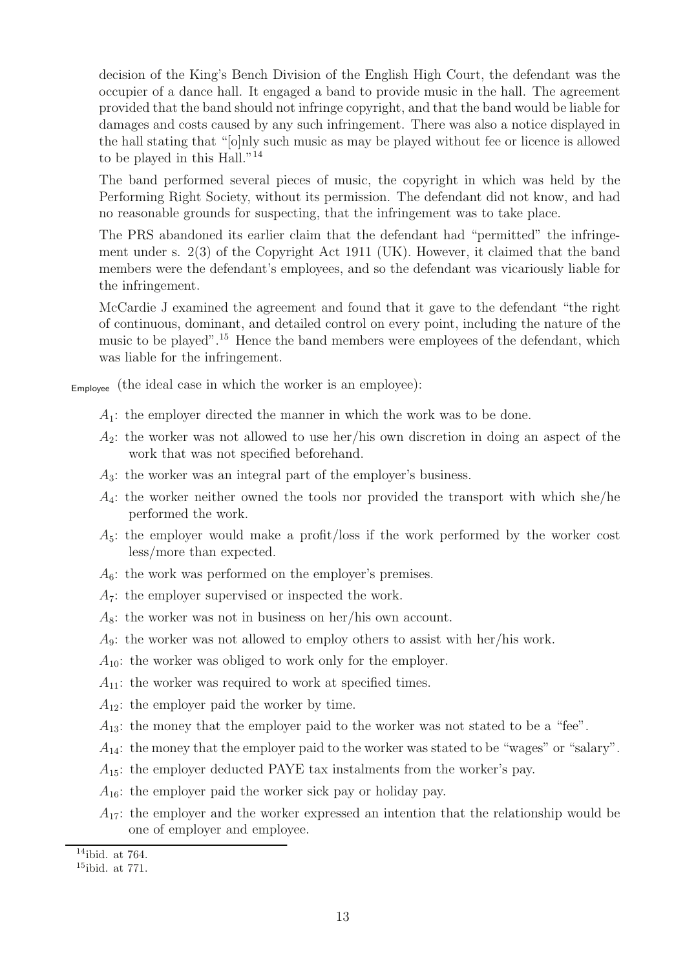decision of the King's Bench Division of the English High Court, the defendant was the occupier of a dance hall. It engaged a band to provide music in the hall. The agreement provided that the band should not infringe copyright, and that the band would be liable for damages and costs caused by any such infringement. There was also a notice displayed in the hall stating that "[o]nly such music as may be played without fee or licence is allowed to be played in this Hall."<sup>14</sup>

The band performed several pieces of music, the copyright in which was held by the Performing Right Society, without its permission. The defendant did not know, and had no reasonable grounds for suspecting, that the infringement was to take place.

The PRS abandoned its earlier claim that the defendant had "permitted" the infringement under s. 2(3) of the Copyright Act 1911 (UK). However, it claimed that the band members were the defendant's employees, and so the defendant was vicariously liable for the infringement.

McCardie J examined the agreement and found that it gave to the defendant "the right of continuous, dominant, and detailed control on every point, including the nature of the music to be played".<sup>15</sup> Hence the band members were employees of the defendant, which was liable for the infringement.

Employee (the ideal case in which the worker is an employee):

- $A_1$ : the employer directed the manner in which the work was to be done.
- $A_2$ : the worker was not allowed to use her/his own discretion in doing an aspect of the work that was not specified beforehand.
- $A_3$ : the worker was an integral part of the employer's business.
- $A_4$ : the worker neither owned the tools nor provided the transport with which she/he performed the work.
- $A_5$ : the employer would make a profit/loss if the work performed by the worker cost less/more than expected.
- $A_6$ : the work was performed on the employer's premises.
- $A_7$ : the employer supervised or inspected the work.
- $A_8$ : the worker was not in business on her/his own account.
- A9: the worker was not allowed to employ others to assist with her/his work.
- $A_{10}$ : the worker was obliged to work only for the employer.
- $A_{11}$ : the worker was required to work at specified times.
- $A_{12}$ : the employer paid the worker by time.
- $A_{13}$ : the money that the employer paid to the worker was not stated to be a "fee".
- $A_{14}$ : the money that the employer paid to the worker was stated to be "wages" or "salary".
- $A_{15}$ : the employer deducted PAYE tax instalments from the worker's pay.
- $A_{16}$ : the employer paid the worker sick pay or holiday pay.
- $A_{17}$ : the employer and the worker expressed an intention that the relationship would be one of employer and employee.

 $14$ ibid. at 764.

<sup>15</sup>ibid. at 771.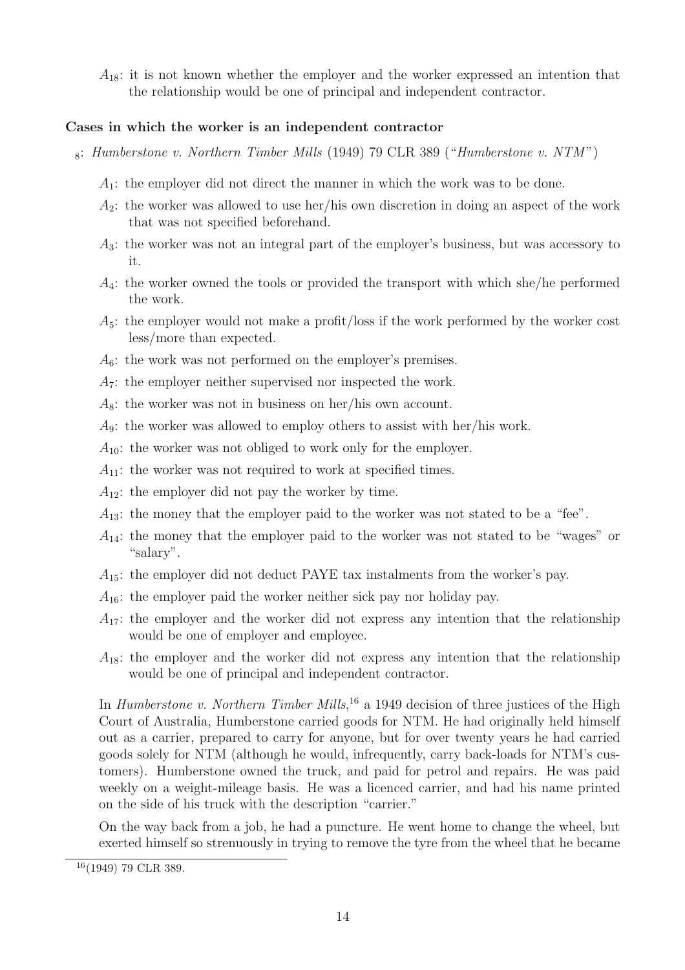$A_{18}$ : it is not known whether the employer and the worker expressed an intention that the relationship would be one of principal and independent contractor.

#### **Cases in which the worker is an independent contractor**

- $8: Humberstone$  v. Northern Timber Mills (1949) 79 CLR 389 ("Humberstone v. NTM")
	- $A_1$ : the employer did not direct the manner in which the work was to be done.
	- $A_2$ : the worker was allowed to use her/his own discretion in doing an aspect of the work that was not specified beforehand.
	- A3: the worker was not an integral part of the employer's business, but was accessory to it.
	- $A_4$ : the worker owned the tools or provided the transport with which she/he performed the work.
	- $A_5$ : the employer would not make a profit/loss if the work performed by the worker cost less/more than expected.
	- $A<sub>6</sub>$ : the work was not performed on the employer's premises.
	- $A_7$ : the employer neither supervised nor inspected the work.
	- $A_8$ : the worker was not in business on her/his own account.
	- $A_9$ : the worker was allowed to employ others to assist with her/his work.
	- $A_{10}$ : the worker was not obliged to work only for the employer.
	- $A_{11}$ : the worker was not required to work at specified times.
	- $A_{12}$ : the employer did not pay the worker by time.
	- $A_{13}$ : the money that the employer paid to the worker was not stated to be a "fee".
	- $A_{14}$ : the money that the employer paid to the worker was not stated to be "wages" or "salary".
	- $A_{15}$ : the employer did not deduct PAYE tax instalments from the worker's pay.
	- $A_{16}$ : the employer paid the worker neither sick pay nor holiday pay.
	- $A_{17}$ : the employer and the worker did not express any intention that the relationship would be one of employer and employee.
	- $A_{18}$ : the employer and the worker did not express any intention that the relationship would be one of principal and independent contractor.

In *Humberstone v. Northern Timber Mills*,<sup>16</sup> a 1949 decision of three justices of the High Court of Australia, Humberstone carried goods for NTM. He had originally held himself out as a carrier, prepared to carry for anyone, but for over twenty years he had carried goods solely for NTM (although he would, infrequently, carry back-loads for NTM's customers). Humberstone owned the truck, and paid for petrol and repairs. He was paid weekly on a weight-mileage basis. He was a licenced carrier, and had his name printed on the side of his truck with the description "carrier."

On the way back from a job, he had a puncture. He went home to change the wheel, but exerted himself so strenuously in trying to remove the tyre from the wheel that he became

<sup>16</sup>(1949) 79 CLR 389.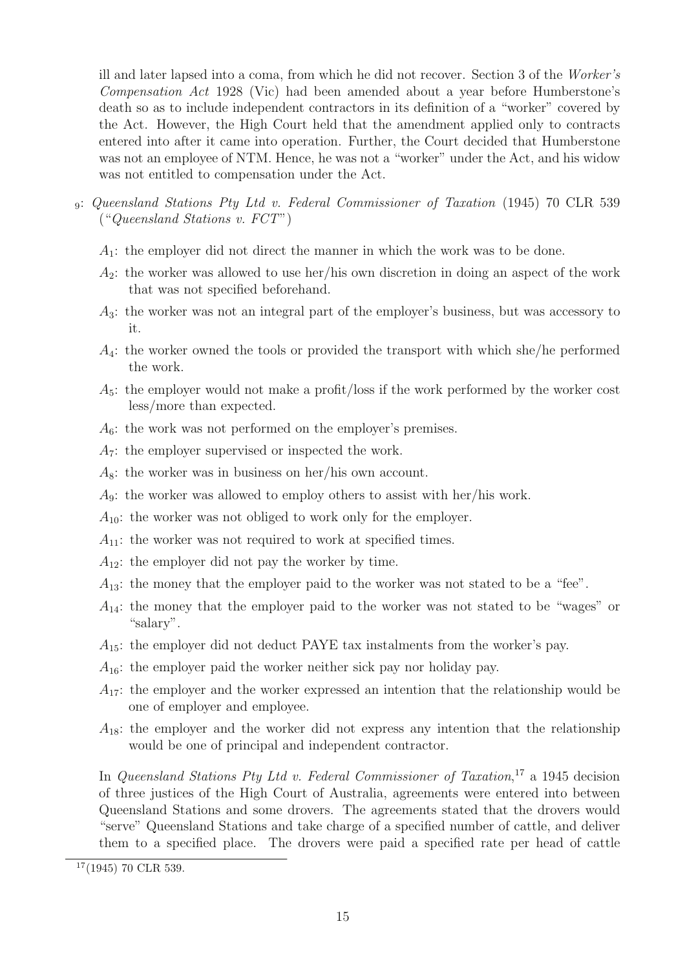ill and later lapsed into a coma, from which he did not recover. Section 3 of the Worker's Compensation Act 1928 (Vic) had been amended about a year before Humberstone's death so as to include independent contractors in its definition of a "worker" covered by the Act. However, the High Court held that the amendment applied only to contracts entered into after it came into operation. Further, the Court decided that Humberstone was not an employee of NTM. Hence, he was not a "worker" under the Act, and his widow was not entitled to compensation under the Act.

- <sup>9</sup>: Queensland Stations Pty Ltd v. Federal Commissioner of Taxation (1945) 70 CLR 539 ("Queensland Stations v. FCT")
	- $A_1$ : the employer did not direct the manner in which the work was to be done.
	- $A_2$ : the worker was allowed to use her/his own discretion in doing an aspect of the work that was not specified beforehand.
	- A3: the worker was not an integral part of the employer's business, but was accessory to it.
	- $A_4$ : the worker owned the tools or provided the transport with which she/he performed the work.
	- $A_5$ : the employer would not make a profit/loss if the work performed by the worker cost less/more than expected.
	- $A<sub>6</sub>$ : the work was not performed on the employer's premises.
	- $A_7$ : the employer supervised or inspected the work.
	- $A_8$ : the worker was in business on her/his own account.
	- A9: the worker was allowed to employ others to assist with her/his work.
	- $A_{10}$ : the worker was not obliged to work only for the employer.
	- $A_{11}$ : the worker was not required to work at specified times.
	- $A_{12}$ : the employer did not pay the worker by time.
	- $A_{13}$ : the money that the employer paid to the worker was not stated to be a "fee".
	- $A_{14}$ : the money that the employer paid to the worker was not stated to be "wages" or "salary".
	- $A_{15}$ : the employer did not deduct PAYE tax instalments from the worker's pay.
	- $A_{16}$ : the employer paid the worker neither sick pay nor holiday pay.
	- $A_{17}$ : the employer and the worker expressed an intention that the relationship would be one of employer and employee.
	- $A_{18}$ : the employer and the worker did not express any intention that the relationship would be one of principal and independent contractor.

In Queensland Stations Pty Ltd v. Federal Commissioner of Taxation,<sup>17</sup> a 1945 decision of three justices of the High Court of Australia, agreements were entered into between Queensland Stations and some drovers. The agreements stated that the drovers would "serve" Queensland Stations and take charge of a specified number of cattle, and deliver them to a specified place. The drovers were paid a specified rate per head of cattle

 $17(1945)$  70 CLR 539.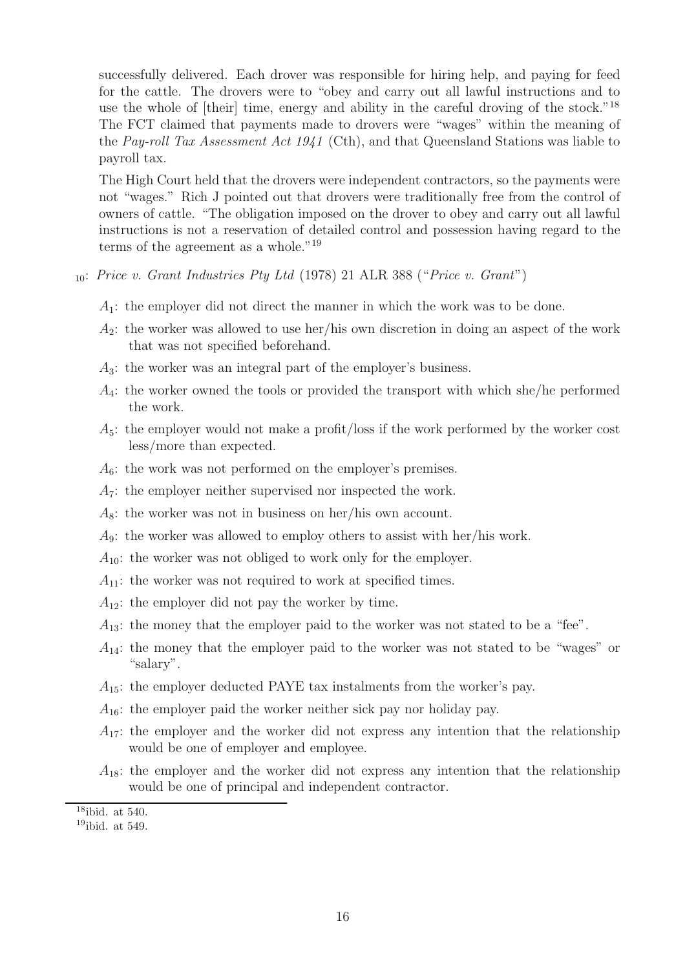successfully delivered. Each drover was responsible for hiring help, and paying for feed for the cattle. The drovers were to "obey and carry out all lawful instructions and to use the whole of [their] time, energy and ability in the careful droving of the stock."<sup>18</sup> The FCT claimed that payments made to drovers were "wages" within the meaning of the Pay-roll Tax Assessment Act 1941 (Cth), and that Queensland Stations was liable to payroll tax.

The High Court held that the drovers were independent contractors, so the payments were not "wages." Rich J pointed out that drovers were traditionally free from the control of owners of cattle. "The obligation imposed on the drover to obey and carry out all lawful instructions is not a reservation of detailed control and possession having regard to the terms of the agreement as a whole."<sup>19</sup>

- $_{10}$ : Price v. Grant Industries Pty Ltd (1978) 21 ALR 388 ("Price v. Grant")
	- $A_1$ : the employer did not direct the manner in which the work was to be done.
	- $A_2$ : the worker was allowed to use her/his own discretion in doing an aspect of the work that was not specified beforehand.
	- $A_3$ : the worker was an integral part of the employer's business.
	- $A_4$ : the worker owned the tools or provided the transport with which she/he performed the work.
	- $A_5$ : the employer would not make a profit/loss if the work performed by the worker cost less/more than expected.
	- $A<sub>6</sub>$ : the work was not performed on the employer's premises.
	- $A_7$ : the employer neither supervised nor inspected the work.
	- $A_8$ : the worker was not in business on her/his own account.
	- $A_9$ : the worker was allowed to employ others to assist with her/his work.
	- $A_{10}$ : the worker was not obliged to work only for the employer.
	- $A_{11}$ : the worker was not required to work at specified times.
	- $A_{12}$ : the employer did not pay the worker by time.
	- $A_{13}$ : the money that the employer paid to the worker was not stated to be a "fee".
	- $A_{14}$ : the money that the employer paid to the worker was not stated to be "wages" or "salary".
	- $A_{15}$ : the employer deducted PAYE tax instalments from the worker's pay.
	- $A_{16}$ : the employer paid the worker neither sick pay nor holiday pay.
	- $A_{17}$ : the employer and the worker did not express any intention that the relationship would be one of employer and employee.
	- $A_{18}$ : the employer and the worker did not express any intention that the relationship would be one of principal and independent contractor.

 $18$ ibid. at 540.

 $19$ ibid. at 549.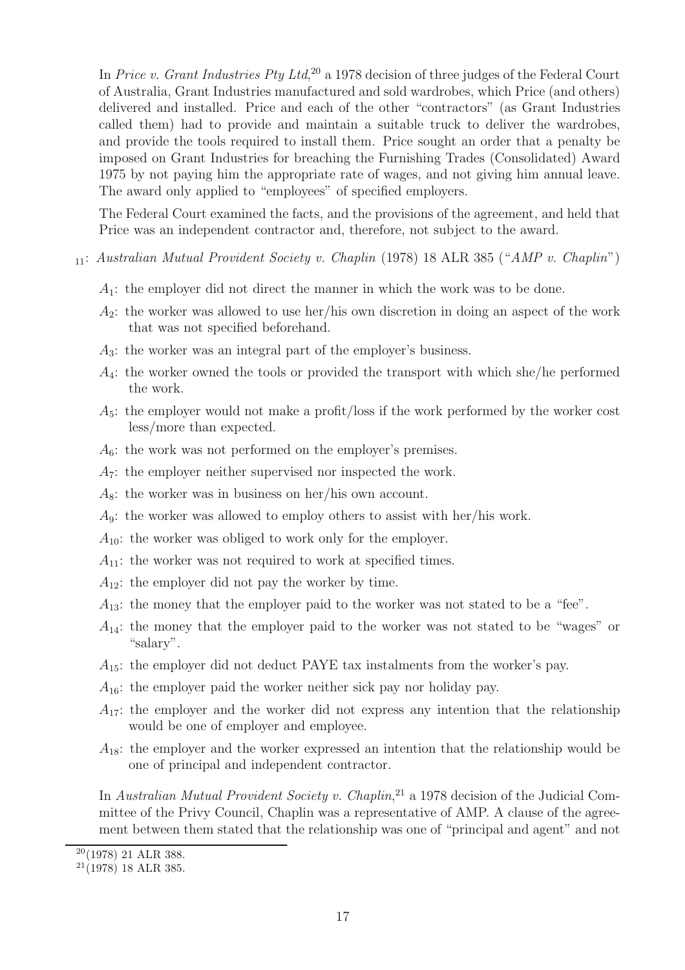In Price v. Grant Industries Pty Ltd,<sup>20</sup> a 1978 decision of three judges of the Federal Court of Australia, Grant Industries manufactured and sold wardrobes, which Price (and others) delivered and installed. Price and each of the other "contractors" (as Grant Industries called them) had to provide and maintain a suitable truck to deliver the wardrobes, and provide the tools required to install them. Price sought an order that a penalty be imposed on Grant Industries for breaching the Furnishing Trades (Consolidated) Award 1975 by not paying him the appropriate rate of wages, and not giving him annual leave. The award only applied to "employees" of specified employers.

The Federal Court examined the facts, and the provisions of the agreement, and held that Price was an independent contractor and, therefore, not subject to the award.

<sup>11</sup>: Australian Mutual Provident Society v. Chaplin (1978) 18 ALR 385 ("AMP v. Chaplin")

- $A_1$ : the employer did not direct the manner in which the work was to be done.
- $A_2$ : the worker was allowed to use her/his own discretion in doing an aspect of the work that was not specified beforehand.
- A3: the worker was an integral part of the employer's business.
- $A_4$ : the worker owned the tools or provided the transport with which she/he performed the work.
- $A_5$ : the employer would not make a profit/loss if the work performed by the worker cost less/more than expected.
- $A_6$ : the work was not performed on the employer's premises.
- A7: the employer neither supervised nor inspected the work.
- $A_8$ : the worker was in business on her/his own account.
- $A_9$ : the worker was allowed to employ others to assist with her/his work.
- $A_{10}$ : the worker was obliged to work only for the employer.
- $A_{11}$ : the worker was not required to work at specified times.
- $A_{12}$ : the employer did not pay the worker by time.
- $A_{13}$ : the money that the employer paid to the worker was not stated to be a "fee".
- $A_{14}$ : the money that the employer paid to the worker was not stated to be "wages" or "salary".
- $A_{15}$ : the employer did not deduct PAYE tax instalments from the worker's pay.
- $A_{16}$ : the employer paid the worker neither sick pay nor holiday pay.
- $A_{17}$ : the employer and the worker did not express any intention that the relationship would be one of employer and employee.
- $A_{18}$ : the employer and the worker expressed an intention that the relationship would be one of principal and independent contractor.

In Australian Mutual Provident Society v. Chaplin,<sup>21</sup> a 1978 decision of the Judicial Committee of the Privy Council, Chaplin was a representative of AMP. A clause of the agreement between them stated that the relationship was one of "principal and agent" and not

 $20(1978)$  21 ALR 388.

<sup>21</sup>(1978) 18 ALR 385.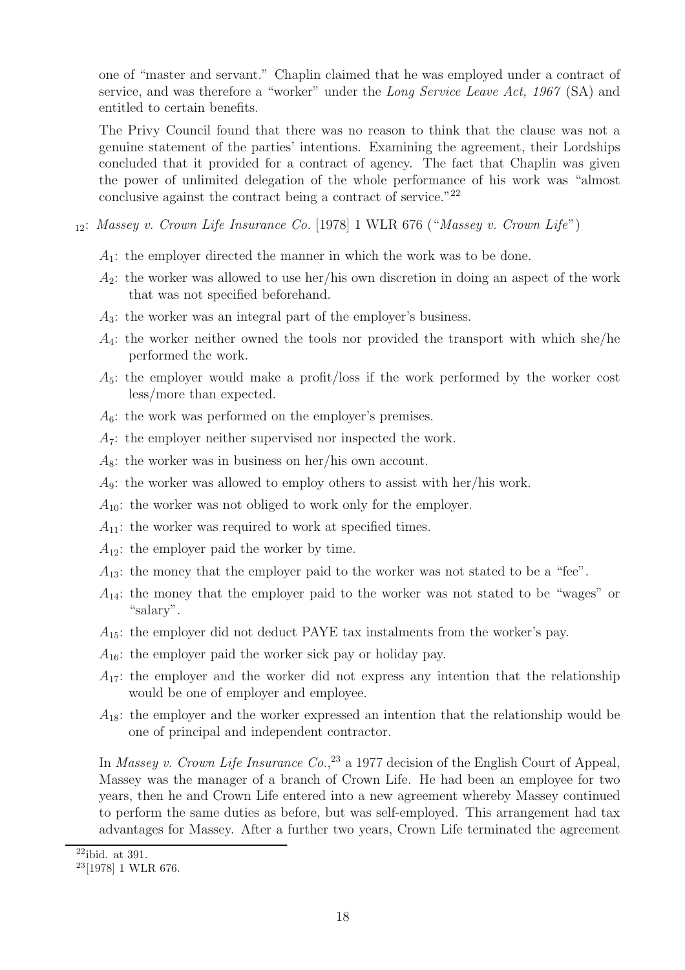one of "master and servant." Chaplin claimed that he was employed under a contract of service, and was therefore a "worker" under the Long Service Leave Act, 1967 (SA) and entitled to certain benefits.

The Privy Council found that there was no reason to think that the clause was not a genuine statement of the parties' intentions. Examining the agreement, their Lordships concluded that it provided for a contract of agency. The fact that Chaplin was given the power of unlimited delegation of the whole performance of his work was "almost conclusive against the contract being a contract of service."<sup>22</sup>

- $_{12}$ : Massey v. Crown Life Insurance Co. [1978] 1 WLR 676 ("Massey v. Crown Life")
	- $A_1$ : the employer directed the manner in which the work was to be done.
	- $A_2$ : the worker was allowed to use her/his own discretion in doing an aspect of the work that was not specified beforehand.
	- A3: the worker was an integral part of the employer's business.
	- $A_4$ : the worker neither owned the tools nor provided the transport with which she/he performed the work.
	- $A_5$ : the employer would make a profit/loss if the work performed by the worker cost less/more than expected.
	- $A_6$ : the work was performed on the employer's premises.
	- $A_7$ : the employer neither supervised nor inspected the work.
	- $A_8$ : the worker was in business on her/his own account.
	- $A_9$ : the worker was allowed to employ others to assist with her/his work.
	- $A_{10}$ : the worker was not obliged to work only for the employer.
	- $A_{11}$ : the worker was required to work at specified times.
	- $A_{12}$ : the employer paid the worker by time.
	- $A_{13}$ : the money that the employer paid to the worker was not stated to be a "fee".
	- $A_{14}$ : the money that the employer paid to the worker was not stated to be "wages" or "salary".
	- $A_{15}$ : the employer did not deduct PAYE tax instalments from the worker's pay.
	- $A_{16}$ : the employer paid the worker sick pay or holiday pay.
	- $A_{17}$ : the employer and the worker did not express any intention that the relationship would be one of employer and employee.
	- $A_{18}$ : the employer and the worker expressed an intention that the relationship would be one of principal and independent contractor.

In Massey v. Crown Life Insurance  $Co^{33}$  a 1977 decision of the English Court of Appeal, Massey was the manager of a branch of Crown Life. He had been an employee for two years, then he and Crown Life entered into a new agreement whereby Massey continued to perform the same duties as before, but was self-employed. This arrangement had tax advantages for Massey. After a further two years, Crown Life terminated the agreement

 $22$ ibid. at 391.

<sup>23</sup>[1978] 1 WLR 676.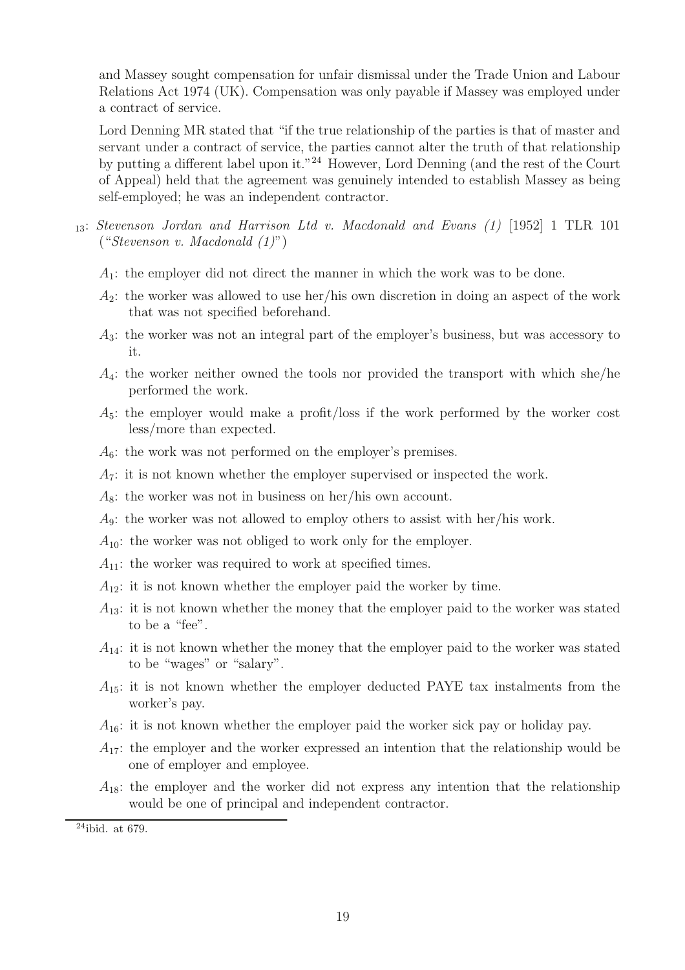and Massey sought compensation for unfair dismissal under the Trade Union and Labour Relations Act 1974 (UK). Compensation was only payable if Massey was employed under a contract of service.

Lord Denning MR stated that "if the true relationship of the parties is that of master and servant under a contract of service, the parties cannot alter the truth of that relationship by putting a different label upon it."<sup>24</sup> However, Lord Denning (and the rest of the Court of Appeal) held that the agreement was genuinely intended to establish Massey as being self-employed; he was an independent contractor.

- <sup>13</sup>: Stevenson Jordan and Harrison Ltd v. Macdonald and Evans (1) [1952] 1 TLR 101 ("Stevenson v. Macdonald (1)")
	- $A_1$ : the employer did not direct the manner in which the work was to be done.
	- $A_2$ : the worker was allowed to use her/his own discretion in doing an aspect of the work that was not specified beforehand.
	- $A_3$ : the worker was not an integral part of the employer's business, but was accessory to it.
	- $A_4$ : the worker neither owned the tools nor provided the transport with which she/he performed the work.
	- $A_5$ : the employer would make a profit/loss if the work performed by the worker cost less/more than expected.
	- $A_6$ : the work was not performed on the employer's premises.
	- $A_7$ : it is not known whether the employer supervised or inspected the work.
	- $A_8$ : the worker was not in business on her/his own account.
	- $A_9$ : the worker was not allowed to employ others to assist with her/his work.
	- $A_{10}$ : the worker was not obliged to work only for the employer.
	- $A_{11}$ : the worker was required to work at specified times.
	- $A_{12}$ : it is not known whether the employer paid the worker by time.
	- $A_{13}$ : it is not known whether the money that the employer paid to the worker was stated to be a "fee".
	- $A_{14}$ : it is not known whether the money that the employer paid to the worker was stated to be "wages" or "salary".
	- $A_{15}$ : it is not known whether the employer deducted PAYE tax instalments from the worker's pay.
	- $A_{16}$ : it is not known whether the employer paid the worker sick pay or holiday pay.
	- $A_{17}$ : the employer and the worker expressed an intention that the relationship would be one of employer and employee.
	- $A_{18}$ : the employer and the worker did not express any intention that the relationship would be one of principal and independent contractor.

 $24$ ibid. at 679.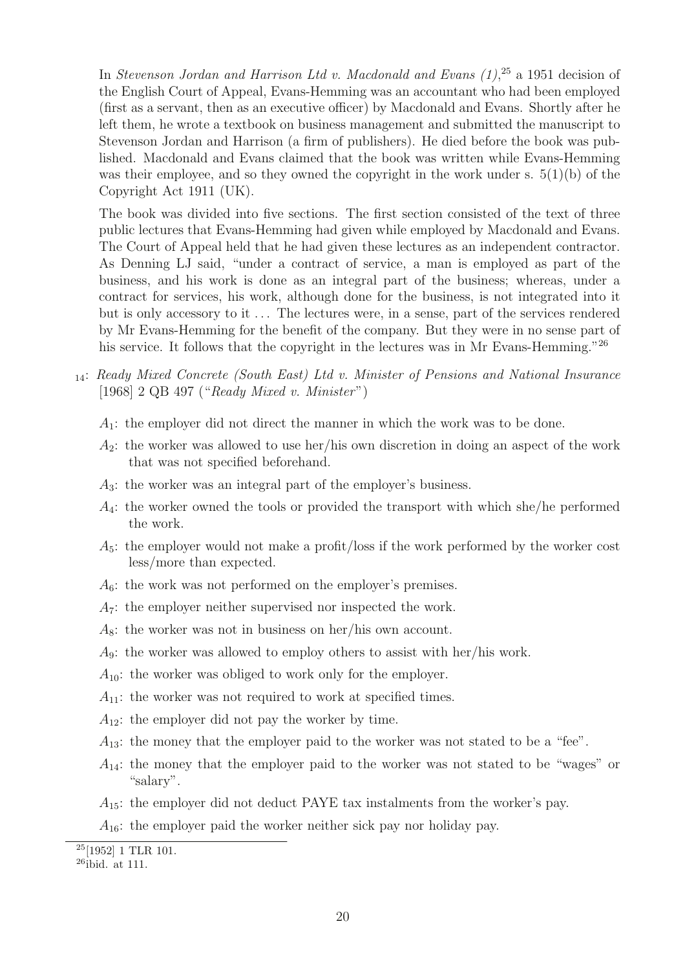In Stevenson Jordan and Harrison Ltd v. Macdonald and Evans  $(1)$ ,<sup>25</sup> a 1951 decision of the English Court of Appeal, Evans-Hemming was an accountant who had been employed (first as a servant, then as an executive officer) by Macdonald and Evans. Shortly after he left them, he wrote a textbook on business management and submitted the manuscript to Stevenson Jordan and Harrison (a firm of publishers). He died before the book was published. Macdonald and Evans claimed that the book was written while Evans-Hemming was their employee, and so they owned the copyright in the work under s.  $5(1)(b)$  of the Copyright Act 1911 (UK).

The book was divided into five sections. The first section consisted of the text of three public lectures that Evans-Hemming had given while employed by Macdonald and Evans. The Court of Appeal held that he had given these lectures as an independent contractor. As Denning LJ said, "under a contract of service, a man is employed as part of the business, and his work is done as an integral part of the business; whereas, under a contract for services, his work, although done for the business, is not integrated into it but is only accessory to it . . . The lectures were, in a sense, part of the services rendered by Mr Evans-Hemming for the benefit of the company. But they were in no sense part of his service. It follows that the copyright in the lectures was in Mr Evans-Hemming."<sup>26</sup>

- <sup>14</sup>: Ready Mixed Concrete (South East) Ltd v. Minister of Pensions and National Insurance [1968] 2 QB 497 ("Ready Mixed v. Minister")
	- $A_1$ : the employer did not direct the manner in which the work was to be done.
	- $A_2$ : the worker was allowed to use her/his own discretion in doing an aspect of the work that was not specified beforehand.
	- A3: the worker was an integral part of the employer's business.
	- $A_4$ : the worker owned the tools or provided the transport with which she/he performed the work.
	- $A_5$ : the employer would not make a profit/loss if the work performed by the worker cost less/more than expected.
	- $A_6$ : the work was not performed on the employer's premises.
	- $A_7$ : the employer neither supervised nor inspected the work.
	- $A_8$ : the worker was not in business on her/his own account.
	- $A_9$ : the worker was allowed to employ others to assist with her/his work.
	- $A_{10}$ : the worker was obliged to work only for the employer.
	- $A_{11}$ : the worker was not required to work at specified times.
	- $A_{12}$ : the employer did not pay the worker by time.
	- $A_{13}$ : the money that the employer paid to the worker was not stated to be a "fee".
	- $A_{14}$ : the money that the employer paid to the worker was not stated to be "wages" or "salary".
	- $A_{15}$ : the employer did not deduct PAYE tax instalments from the worker's pay.

 $A_{16}$ : the employer paid the worker neither sick pay nor holiday pay.

 $\overline{^{25}}$ [1952] 1 TLR 101.

<sup>26</sup>ibid. at 111.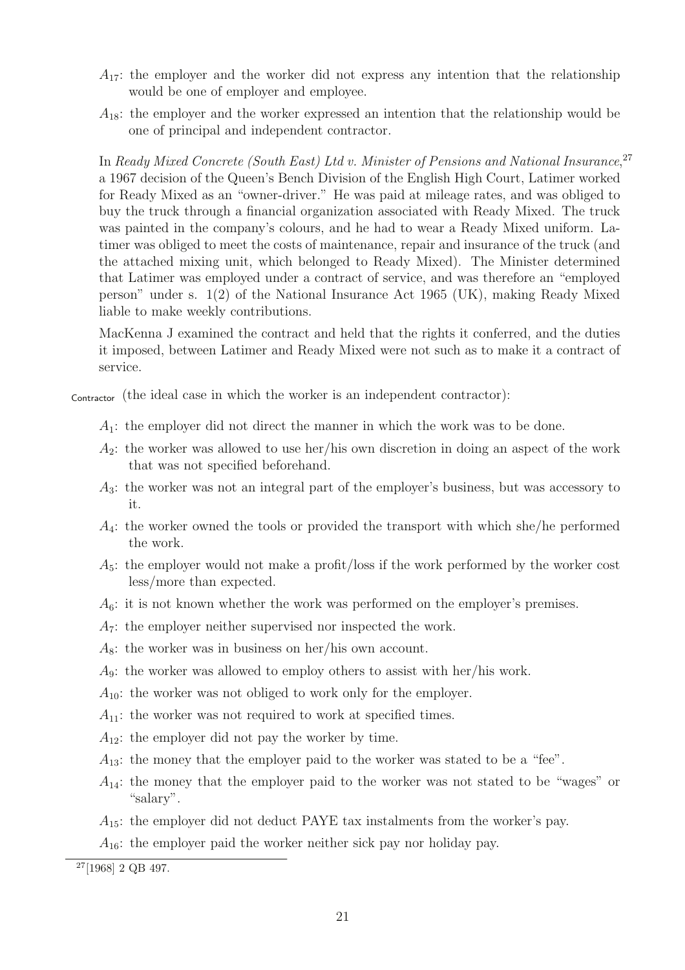- $A_{17}$ : the employer and the worker did not express any intention that the relationship would be one of employer and employee.
- $A_{18}$ : the employer and the worker expressed an intention that the relationship would be one of principal and independent contractor.

In Ready Mixed Concrete (South East) Ltd v. Minister of Pensions and National Insurance,<sup>27</sup> a 1967 decision of the Queen's Bench Division of the English High Court, Latimer worked for Ready Mixed as an "owner-driver." He was paid at mileage rates, and was obliged to buy the truck through a financial organization associated with Ready Mixed. The truck was painted in the company's colours, and he had to wear a Ready Mixed uniform. Latimer was obliged to meet the costs of maintenance, repair and insurance of the truck (and the attached mixing unit, which belonged to Ready Mixed). The Minister determined that Latimer was employed under a contract of service, and was therefore an "employed person" under s. 1(2) of the National Insurance Act 1965 (UK), making Ready Mixed liable to make weekly contributions.

MacKenna J examined the contract and held that the rights it conferred, and the duties it imposed, between Latimer and Ready Mixed were not such as to make it a contract of service.

Contractor (the ideal case in which the worker is an independent contractor):

- $A_1$ : the employer did not direct the manner in which the work was to be done.
- $A_2$ : the worker was allowed to use her/his own discretion in doing an aspect of the work that was not specified beforehand.
- $A_3$ : the worker was not an integral part of the employer's business, but was accessory to it.
- $A_4$ : the worker owned the tools or provided the transport with which she/he performed the work.
- $A_5$ : the employer would not make a profit/loss if the work performed by the worker cost less/more than expected.
- $A_6$ : it is not known whether the work was performed on the employer's premises.
- $A_7$ : the employer neither supervised nor inspected the work.
- $A_8$ : the worker was in business on her/his own account.
- $A_9$ : the worker was allowed to employ others to assist with her/his work.
- $A_{10}$ : the worker was not obliged to work only for the employer.
- $A_{11}$ : the worker was not required to work at specified times.
- $A_{12}$ : the employer did not pay the worker by time.
- $A_{13}$ : the money that the employer paid to the worker was stated to be a "fee".
- $A_{14}$ : the money that the employer paid to the worker was not stated to be "wages" or "salary".
- $A_{15}$ : the employer did not deduct PAYE tax instalments from the worker's pay.
- $A_{16}$ : the employer paid the worker neither sick pay nor holiday pay.

<sup>27</sup>[1968] 2 QB 497.